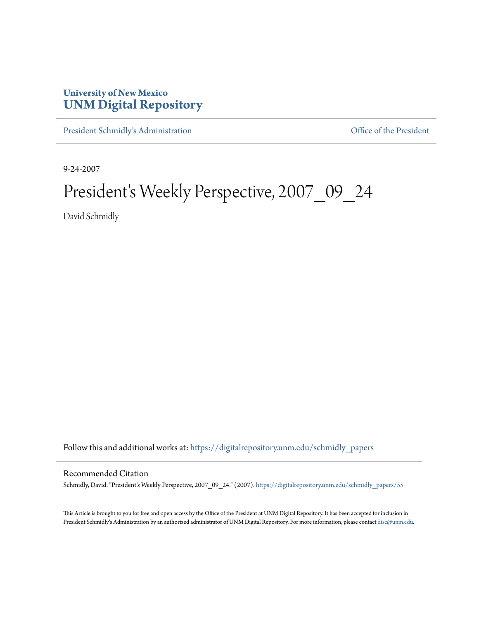## **University of New Mexico [UNM Digital Repository](https://digitalrepository.unm.edu?utm_source=digitalrepository.unm.edu%2Fschmidly_papers%2F55&utm_medium=PDF&utm_campaign=PDFCoverPages)**

[President Schmidly's Administration](https://digitalrepository.unm.edu/schmidly_papers?utm_source=digitalrepository.unm.edu%2Fschmidly_papers%2F55&utm_medium=PDF&utm_campaign=PDFCoverPages) [Office of the President](https://digitalrepository.unm.edu/ofc_president?utm_source=digitalrepository.unm.edu%2Fschmidly_papers%2F55&utm_medium=PDF&utm_campaign=PDFCoverPages)

9-24-2007

## President's Weekly Perspective, 2007\_09\_24

David Schmidly

Follow this and additional works at: [https://digitalrepository.unm.edu/schmidly\\_papers](https://digitalrepository.unm.edu/schmidly_papers?utm_source=digitalrepository.unm.edu%2Fschmidly_papers%2F55&utm_medium=PDF&utm_campaign=PDFCoverPages)

## Recommended Citation

Schmidly, David. "President's Weekly Perspective, 2007\_09\_24." (2007). [https://digitalrepository.unm.edu/schmidly\\_papers/55](https://digitalrepository.unm.edu/schmidly_papers/55?utm_source=digitalrepository.unm.edu%2Fschmidly_papers%2F55&utm_medium=PDF&utm_campaign=PDFCoverPages)

This Article is brought to you for free and open access by the Office of the President at UNM Digital Repository. It has been accepted for inclusion in President Schmidly's Administration by an authorized administrator of UNM Digital Repository. For more information, please contact [disc@unm.edu](mailto:disc@unm.edu).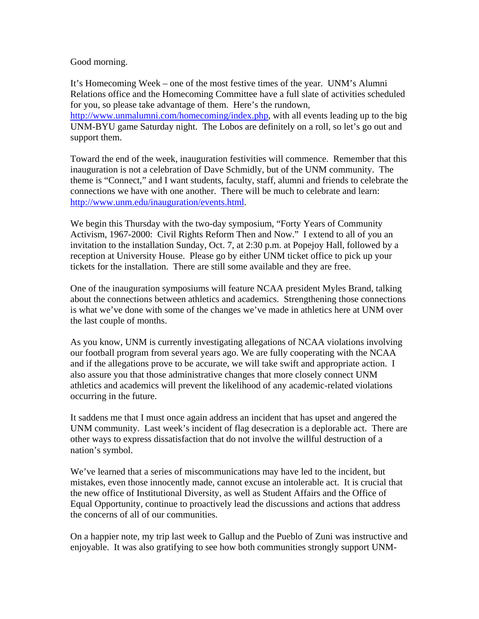## Good morning.

It's Homecoming Week – one of the most festive times of the year. UNM's Alumni Relations office and the Homecoming Committee have a full slate of activities scheduled for you, so please take advantage of them. Here's the rundown, http://www.unmalumni.com/homecoming/index.php, with all events leading up to the big UNM-BYU game Saturday night. The Lobos are definitely on a roll, so let's go out and support them.

Toward the end of the week, inauguration festivities will commence. Remember that this inauguration is not a celebration of Dave Schmidly, but of the UNM community. The theme is "Connect," and I want students, faculty, staff, alumni and friends to celebrate the connections we have with one another. There will be much to celebrate and learn: http://www.unm.edu/inauguration/events.html.

We begin this Thursday with the two-day symposium, "Forty Years of Community Activism, 1967-2000: Civil Rights Reform Then and Now." I extend to all of you an invitation to the installation Sunday, Oct. 7, at 2:30 p.m. at Popejoy Hall, followed by a reception at University House. Please go by either UNM ticket office to pick up your tickets for the installation. There are still some available and they are free.

One of the inauguration symposiums will feature NCAA president Myles Brand, talking about the connections between athletics and academics. Strengthening those connections is what we've done with some of the changes we've made in athletics here at UNM over the last couple of months.

As you know, UNM is currently investigating allegations of NCAA violations involving our football program from several years ago. We are fully cooperating with the NCAA and if the allegations prove to be accurate, we will take swift and appropriate action. I also assure you that those administrative changes that more closely connect UNM athletics and academics will prevent the likelihood of any academic-related violations occurring in the future.

It saddens me that I must once again address an incident that has upset and angered the UNM community. Last week's incident of flag desecration is a deplorable act. There are other ways to express dissatisfaction that do not involve the willful destruction of a nation's symbol.

We've learned that a series of miscommunications may have led to the incident, but mistakes, even those innocently made, cannot excuse an intolerable act. It is crucial that the new office of Institutional Diversity, as well as Student Affairs and the Office of Equal Opportunity, continue to proactively lead the discussions and actions that address the concerns of all of our communities.

On a happier note, my trip last week to Gallup and the Pueblo of Zuni was instructive and enjoyable. It was also gratifying to see how both communities strongly support UNM-